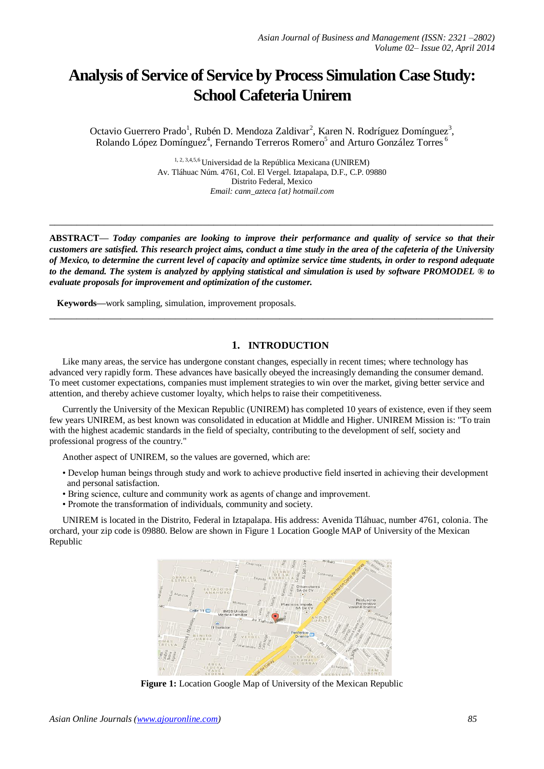# **Analysis of Service of Service by Process Simulation Case Study: School Cafeteria Unirem**

Octavio Guerrero Prado<sup>1</sup>, Rubén D. Mendoza Zaldivar<sup>2</sup>, Karen N. Rodríguez Domínguez<sup>3</sup>, Rolando López Domínguez<sup>4</sup>, Fernando Terreros Romero<sup>5</sup> and Arturo González Torres <sup>6</sup>

> 1, 2, 3,4,5,6 Universidad de la República Mexicana (UNIREM) Av. Tláhuac Núm. 4761, Col. El Vergel. Iztapalapa, D.F., C.P. 09880 Distrito Federal, Mexico *Email: cann\_azteca {at} hotmail.com*

**ABSTRACT—** *Today companies are looking to improve their performance and quality of service so that their customers are satisfied. This research project aims, conduct a time study in the area of the cafeteria of the University of Mexico, to determine the current level of capacity and optimize service time students, in order to respond adequate to the demand. The system is analyzed by applying statistical and simulation is used by software PROMODEL ® to evaluate proposals for improvement and optimization of the customer.*

**\_\_\_\_\_\_\_\_\_\_\_\_\_\_\_\_\_\_\_\_\_\_\_\_\_\_\_\_\_\_\_\_\_\_\_\_\_\_\_\_\_\_\_\_\_\_\_\_\_\_\_\_\_\_\_\_\_\_\_\_\_\_\_\_\_\_\_\_\_\_\_\_\_\_\_\_\_\_\_\_\_**

**\_\_\_\_\_\_\_\_\_\_\_\_\_\_\_\_\_\_\_\_\_\_\_\_\_\_\_\_\_\_\_\_\_\_\_\_\_\_\_\_\_\_\_\_\_\_\_\_\_\_\_\_\_\_\_\_\_\_\_\_\_\_\_\_\_\_\_\_\_\_\_\_\_\_\_\_\_\_\_\_\_**

**Keywords—**work sampling, simulation, improvement proposals.

## **1. INTRODUCTION**

Like many areas, the service has undergone constant changes, especially in recent times; where technology has advanced very rapidly form. These advances have basically obeyed the increasingly demanding the consumer demand. To meet customer expectations, companies must implement strategies to win over the market, giving better service and attention, and thereby achieve customer loyalty, which helps to raise their competitiveness.

Currently the University of the Mexican Republic (UNIREM) has completed 10 years of existence, even if they seem few years UNIREM, as best known was consolidated in education at Middle and Higher. UNIREM Mission is: "To train with the highest academic standards in the field of specialty, contributing to the development of self, society and professional progress of the country."

Another aspect of UNIREM, so the values are governed, which are:

- Develop human beings through study and work to achieve productive field inserted in achieving their development and personal satisfaction.
- Bring science, culture and community work as agents of change and improvement.
- Promote the transformation of individuals, community and society.

UNIREM is located in the Distrito, Federal in Iztapalapa. His address: Avenida Tláhuac, number 4761, colonia. The orchard, your zip code is 09880. Below are shown in Figure 1 Location Google MAP of University of the Mexican Republic



**Figure 1:** Location Google Map of University of the Mexican Republic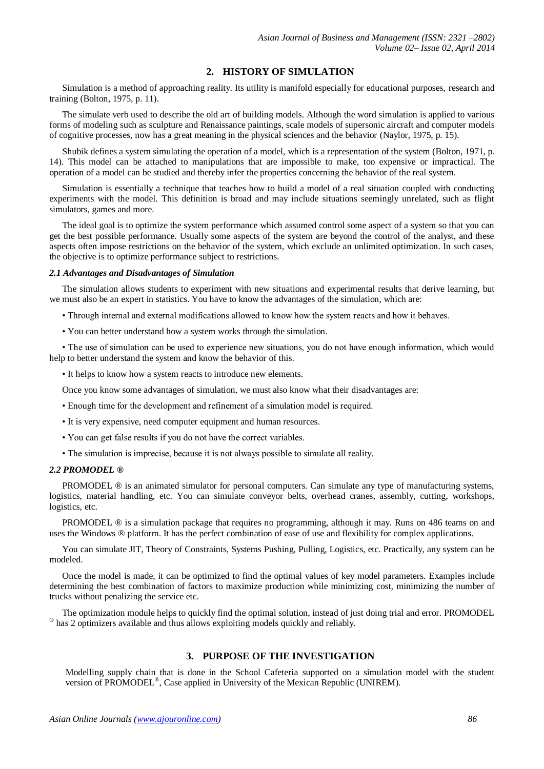## **2. HISTORY OF SIMULATION**

Simulation is a method of approaching reality. Its utility is manifold especially for educational purposes, research and training (Bolton, 1975, p. 11).

The simulate verb used to describe the old art of building models. Although the word simulation is applied to various forms of modeling such as sculpture and Renaissance paintings, scale models of supersonic aircraft and computer models of cognitive processes, now has a great meaning in the physical sciences and the behavior (Naylor, 1975, p. 15).

Shubik defines a system simulating the operation of a model, which is a representation of the system (Bolton, 1971, p. 14). This model can be attached to manipulations that are impossible to make, too expensive or impractical. The operation of a model can be studied and thereby infer the properties concerning the behavior of the real system.

Simulation is essentially a technique that teaches how to build a model of a real situation coupled with conducting experiments with the model. This definition is broad and may include situations seemingly unrelated, such as flight simulators, games and more.

The ideal goal is to optimize the system performance which assumed control some aspect of a system so that you can get the best possible performance. Usually some aspects of the system are beyond the control of the analyst, and these aspects often impose restrictions on the behavior of the system, which exclude an unlimited optimization. In such cases, the objective is to optimize performance subject to restrictions.

#### *2.1 Advantages and Disadvantages of Simulation*

The simulation allows students to experiment with new situations and experimental results that derive learning, but we must also be an expert in statistics. You have to know the advantages of the simulation, which are:

- Through internal and external modifications allowed to know how the system reacts and how it behaves.
- You can better understand how a system works through the simulation.

• The use of simulation can be used to experience new situations, you do not have enough information, which would help to better understand the system and know the behavior of this.

• It helps to know how a system reacts to introduce new elements.

Once you know some advantages of simulation, we must also know what their disadvantages are:

- Enough time for the development and refinement of a simulation model is required.
- It is very expensive, need computer equipment and human resources.
- You can get false results if you do not have the correct variables.
- The simulation is imprecise, because it is not always possible to simulate all reality.

#### *2.2 PROMODEL ®*

PROMODEL ® is an animated simulator for personal computers. Can simulate any type of manufacturing systems, logistics, material handling, etc. You can simulate conveyor belts, overhead cranes, assembly, cutting, workshops, logistics, etc.

PROMODEL ® is a simulation package that requires no programming, although it may. Runs on 486 teams on and uses the Windows ® platform. It has the perfect combination of ease of use and flexibility for complex applications.

You can simulate JIT, Theory of Constraints, Systems Pushing, Pulling, Logistics, etc. Practically, any system can be modeled.

Once the model is made, it can be optimized to find the optimal values of key model parameters. Examples include determining the best combination of factors to maximize production while minimizing cost, minimizing the number of trucks without penalizing the service etc.

The optimization module helps to quickly find the optimal solution, instead of just doing trial and error. PROMODEL ® has 2 optimizers available and thus allows exploiting models quickly and reliably.

# **3. PURPOSE OF THE INVESTIGATION**

Modelling supply chain that is done in the School Cafeteria supported on a simulation model with the student version of PROMODEL<sup>®</sup>, Case applied in University of the Mexican Republic (UNIREM).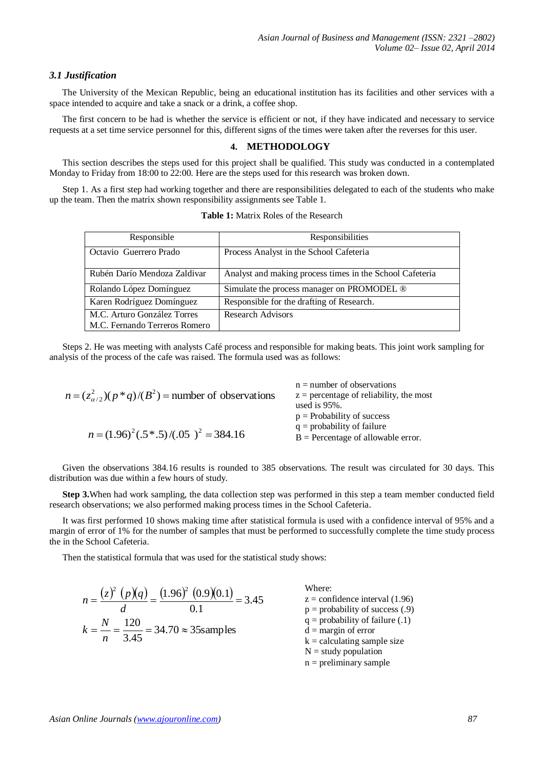## *3.1 Justification*

The University of the Mexican Republic, being an educational institution has its facilities and other services with a space intended to acquire and take a snack or a drink, a coffee shop.

The first concern to be had is whether the service is efficient or not, if they have indicated and necessary to service requests at a set time service personnel for this, different signs of the times were taken after the reverses for this user.

## **4. METHODOLOGY**

This section describes the steps used for this project shall be qualified. This study was conducted in a contemplated Monday to Friday from 18:00 to 22:00. Here are the steps used for this research was broken down.

Step 1. As a first step had working together and there are responsibilities delegated to each of the students who make up the team. Then the matrix shown responsibility assignments see Table 1.

| Responsible                                                  | Responsibilities                                         |
|--------------------------------------------------------------|----------------------------------------------------------|
| Octavio Guerrero Prado                                       | Process Analyst in the School Cafeteria                  |
| Rubén Darío Mendoza Zaldivar                                 | Analyst and making process times in the School Cafeteria |
| Rolando López Domínguez                                      | Simulate the process manager on PROMODEL ®               |
| Karen Rodríguez Domínguez                                    | Responsible for the drafting of Research.                |
| M.C. Arturo González Torres<br>M.C. Fernando Terreros Romero | <b>Research Advisors</b>                                 |

**Table 1:** Matrix Roles of the Research

Steps 2. He was meeting with analysts Café process and responsible for making beats. This joint work sampling for analysis of the process of the cafe was raised. The formula used was as follows:

| $n = (z\alpha/22)(p * q)/(B2)$ = number of observations | $n =$ number of observations<br>$z =$ percentage of reliability, the most<br>used is $95\%$ . |
|---------------------------------------------------------|-----------------------------------------------------------------------------------------------|
|                                                         | $p =$ Probability of success<br>$q =$ probability of failure                                  |
| $n = (1.96)^2(.5*.5)/(.05)^2 = 384.16$                  | $B =$ Percentage of allowable error.                                                          |

Given the observations 384.16 results is rounded to 385 observations. The result was circulated for 30 days. This distribution was due within a few hours of study.

**Step 3.**When had work sampling, the data collection step was performed in this step a team member conducted field research observations; we also performed making process times in the School Cafeteria.

It was first performed 10 shows making time after statistical formula is used with a confidence interval of 95% and a margin of error of 1% for the number of samples that must be performed to successfully complete the time study process the in the School Cafeteria.

Then the statistical formula that was used for the statistical study shows:

$$
n = \frac{(z)^2 (p)(q)}{d} = \frac{(1.96)^2 (0.9)(0.1)}{0.1} = 3.45
$$
  
\n
$$
k = \frac{N}{n} = \frac{120}{3.45} = 34.70 \approx 35
$$
 sample  
\n
$$
k = \frac{N}{n} = \frac{120}{3.45} = 34.70 \approx 35
$$
 sample  
\n
$$
n = \frac{N}{n} = \frac{120}{3.45} = 34.70 \approx 35
$$
 sample  
\n
$$
n = \frac{N}{n} = \frac{120}{3.45} = 34.70 \approx 35
$$
 sample  
\n
$$
n = \frac{N}{n} = \frac{120}{3.45} = 34.70 \approx 35
$$
 sample  
\n
$$
n = \frac{N}{n} = \frac{120}{3.45} = 34.70 \approx 35
$$
 sample  
\n
$$
n = \frac{N}{n} = \frac{120}{3.45} = 34.70 \approx 35
$$
 sample  
\n
$$
n = \frac{N}{n} = \frac{120}{3.45} = 34.70 \approx 35
$$
 sample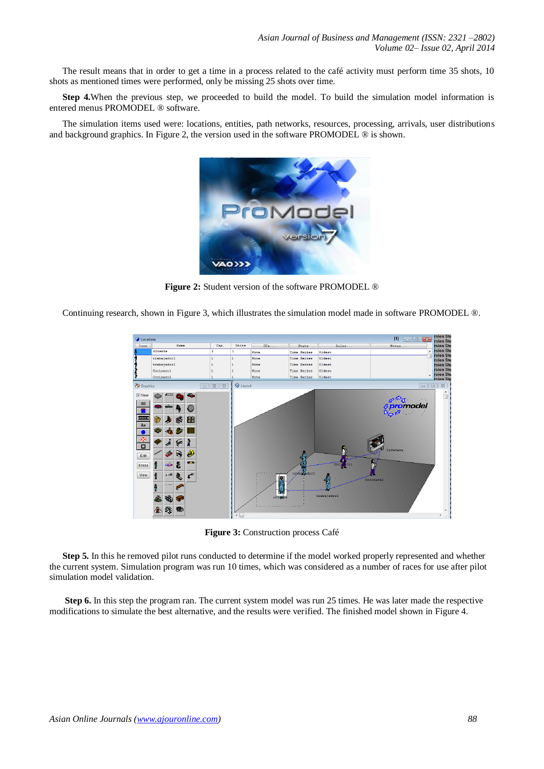The result means that in order to get a time in a process related to the café activity must perform time 35 shots, 10 shots as mentioned times were performed, only be missing 25 shots over time.

**Step 4.**When the previous step, we proceeded to build the model. To build the simulation model information is entered menus PROMODEL ® software.

The simulation items used were: locations, entities, path networks, resources, processing, arrivals, user distributions and background graphics. In Figure 2, the version used in the software PROMODEL ® is shown.



**Figure 2:** Student version of the software PROMODEL ®

Continuing research, shown in Figure 3, which illustrates the simulation model made in software PROMODEL ®.



**Figure 3:** Construction process Café

**Step 5.** In this he removed pilot runs conducted to determine if the model worked properly represented and whether the current system. Simulation program was run 10 times, which was considered as a number of races for use after pilot simulation model validation.

**Step 6.** In this step the program ran. The current system model was run 25 times. He was later made the respective modifications to simulate the best alternative, and the results were verified. The finished model shown in Figure 4.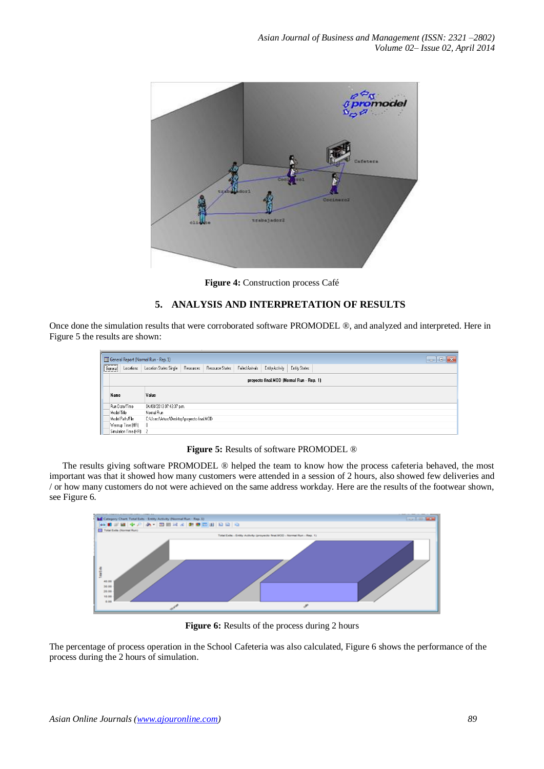

**Figure 4:** Construction process Café

# **5. ANALYSIS AND INTERPRETATION OF RESULTS**

Once done the simulation results that were corroborated software PROMODEL ®, and analyzed and interpreted. Here in Figure 5 the results are shown:

|                                          | $\mathbf{R}$<br>General Report (Normal Run - Rep. 1)<br>-⊡<br>$\Box$ |                        |                                                 |                                            |                 |                 |                 |               |  |  |  |
|------------------------------------------|----------------------------------------------------------------------|------------------------|-------------------------------------------------|--------------------------------------------|-----------------|-----------------|-----------------|---------------|--|--|--|
|                                          | General                                                              | Locations              | Location States Single                          | Resources                                  | Resource States | Failed Arrivals | Entity Activity | Entity States |  |  |  |
| proyecto final.MOD (Normal Run - Rep. 1) |                                                                      |                        |                                                 |                                            |                 |                 |                 |               |  |  |  |
|                                          | Name                                                                 |                        | Value<br>04/08/2013 07:43:37 p.m.<br>Normal Run |                                            |                 |                 |                 |               |  |  |  |
|                                          | Run Date/Time                                                        |                        |                                                 |                                            |                 |                 |                 |               |  |  |  |
|                                          | Model Title                                                          |                        |                                                 |                                            |                 |                 |                 |               |  |  |  |
|                                          | Model Path/File                                                      |                        |                                                 | C:\Users\Arturo\Desktop\proyecto final.MOD |                 |                 |                 |               |  |  |  |
|                                          |                                                                      | Warmup Time (HR)       | 0                                               |                                            |                 |                 |                 |               |  |  |  |
|                                          |                                                                      | Simulation Time (HR) 2 |                                                 |                                            |                 |                 |                 |               |  |  |  |

**Figure 5:** Results of software PROMODEL ®

The results giving software PROMODEL ® helped the team to know how the process cafeteria behaved, the most important was that it showed how many customers were attended in a session of 2 hours, also showed few deliveries and / or how many customers do not were achieved on the same address workday. Here are the results of the footwear shown, see Figure 6.



Figure 6: Results of the process during 2 hours

The percentage of process operation in the School Cafeteria was also calculated, Figure 6 shows the performance of the process during the 2 hours of simulation.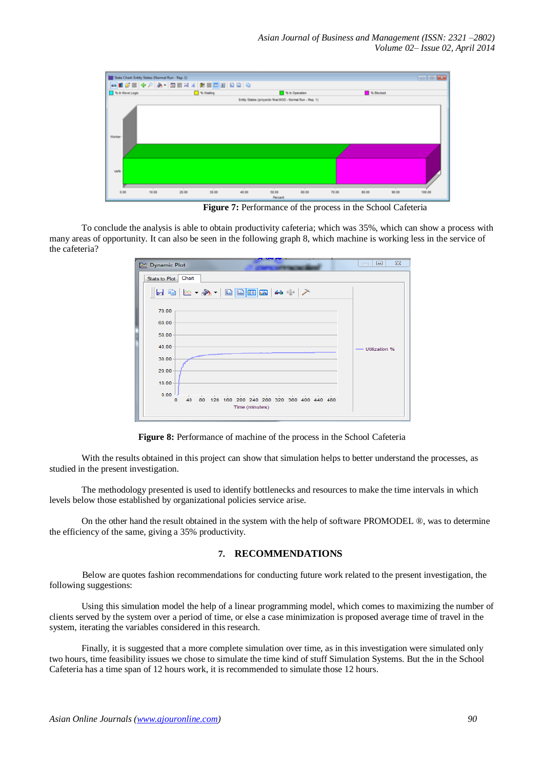

**Figure 7:** Performance of the process in the School Cafeteria

To conclude the analysis is able to obtain productivity cafeteria; which was 35%, which can show a process with many areas of opportunity. It can also be seen in the following graph 8, which machine is working less in the service of the cafeteria?

| <b>EX</b> Dynamic Plot                                                                                           | $\Sigma$<br>$\Box$<br>$\overline{\phantom{0}}$ |
|------------------------------------------------------------------------------------------------------------------|------------------------------------------------|
| Stats to Plot Chart                                                                                              |                                                |
| $\ \mathbf{a}\ _2 \otimes \mathbf{a}$ , $\ \mathbf{a}\ _2 \otimes \mathbf{a}$ , $\mathbf{a}$                     |                                                |
| 70.00                                                                                                            |                                                |
| 60.00                                                                                                            |                                                |
| 50.00                                                                                                            |                                                |
| 40.00                                                                                                            | - Utilization %                                |
| 30.00                                                                                                            |                                                |
| 20.00                                                                                                            |                                                |
| 10.00                                                                                                            |                                                |
| 0.00<br>the contract of the contract of the con-<br>40 80<br>120 160 200 240 280 320 360 400 440 480<br>$\Omega$ |                                                |
| Time (minutes)                                                                                                   |                                                |
|                                                                                                                  |                                                |

**Figure 8:** Performance of machine of the process in the School Cafeteria

With the results obtained in this project can show that simulation helps to better understand the processes, as studied in the present investigation.

The methodology presented is used to identify bottlenecks and resources to make the time intervals in which levels below those established by organizational policies service arise.

On the other hand the result obtained in the system with the help of software PROMODEL ®, was to determine the efficiency of the same, giving a 35% productivity.

## **7. RECOMMENDATIONS**

Below are quotes fashion recommendations for conducting future work related to the present investigation, the following suggestions:

Using this simulation model the help of a linear programming model, which comes to maximizing the number of clients served by the system over a period of time, or else a case minimization is proposed average time of travel in the system, iterating the variables considered in this research.

Finally, it is suggested that a more complete simulation over time, as in this investigation were simulated only two hours, time feasibility issues we chose to simulate the time kind of stuff Simulation Systems. But the in the School Cafeteria has a time span of 12 hours work, it is recommended to simulate those 12 hours.